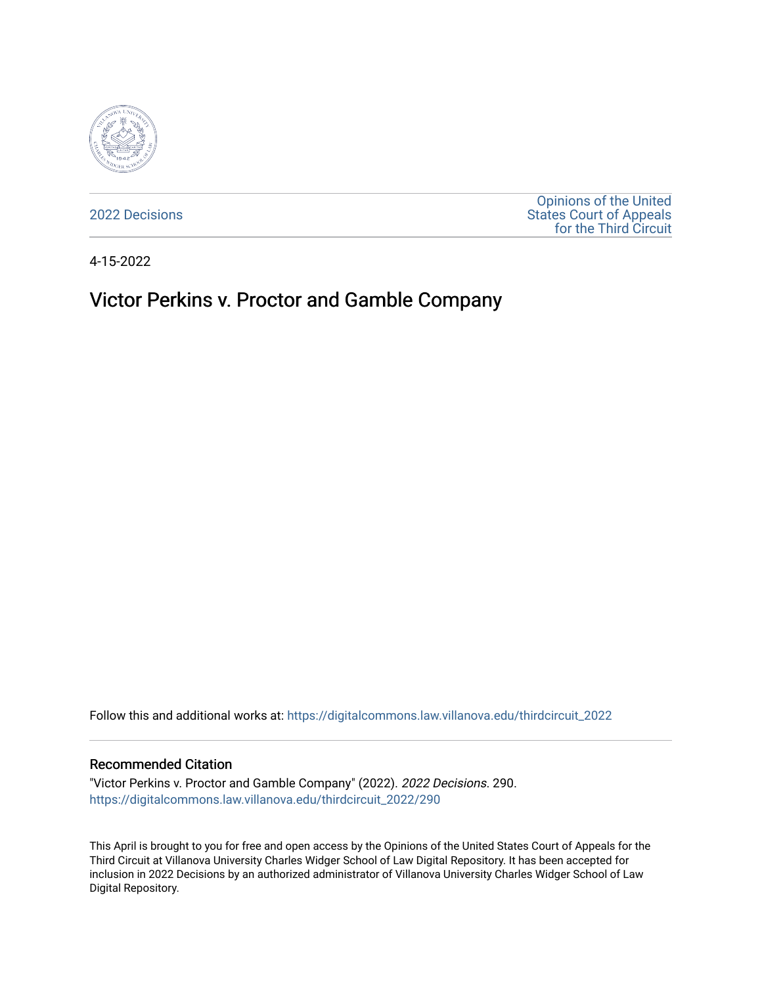

[2022 Decisions](https://digitalcommons.law.villanova.edu/thirdcircuit_2022)

[Opinions of the United](https://digitalcommons.law.villanova.edu/thirdcircuit)  [States Court of Appeals](https://digitalcommons.law.villanova.edu/thirdcircuit)  [for the Third Circuit](https://digitalcommons.law.villanova.edu/thirdcircuit) 

4-15-2022

## Victor Perkins v. Proctor and Gamble Company

Follow this and additional works at: [https://digitalcommons.law.villanova.edu/thirdcircuit\\_2022](https://digitalcommons.law.villanova.edu/thirdcircuit_2022?utm_source=digitalcommons.law.villanova.edu%2Fthirdcircuit_2022%2F290&utm_medium=PDF&utm_campaign=PDFCoverPages) 

## Recommended Citation

"Victor Perkins v. Proctor and Gamble Company" (2022). 2022 Decisions. 290. [https://digitalcommons.law.villanova.edu/thirdcircuit\\_2022/290](https://digitalcommons.law.villanova.edu/thirdcircuit_2022/290?utm_source=digitalcommons.law.villanova.edu%2Fthirdcircuit_2022%2F290&utm_medium=PDF&utm_campaign=PDFCoverPages)

This April is brought to you for free and open access by the Opinions of the United States Court of Appeals for the Third Circuit at Villanova University Charles Widger School of Law Digital Repository. It has been accepted for inclusion in 2022 Decisions by an authorized administrator of Villanova University Charles Widger School of Law Digital Repository.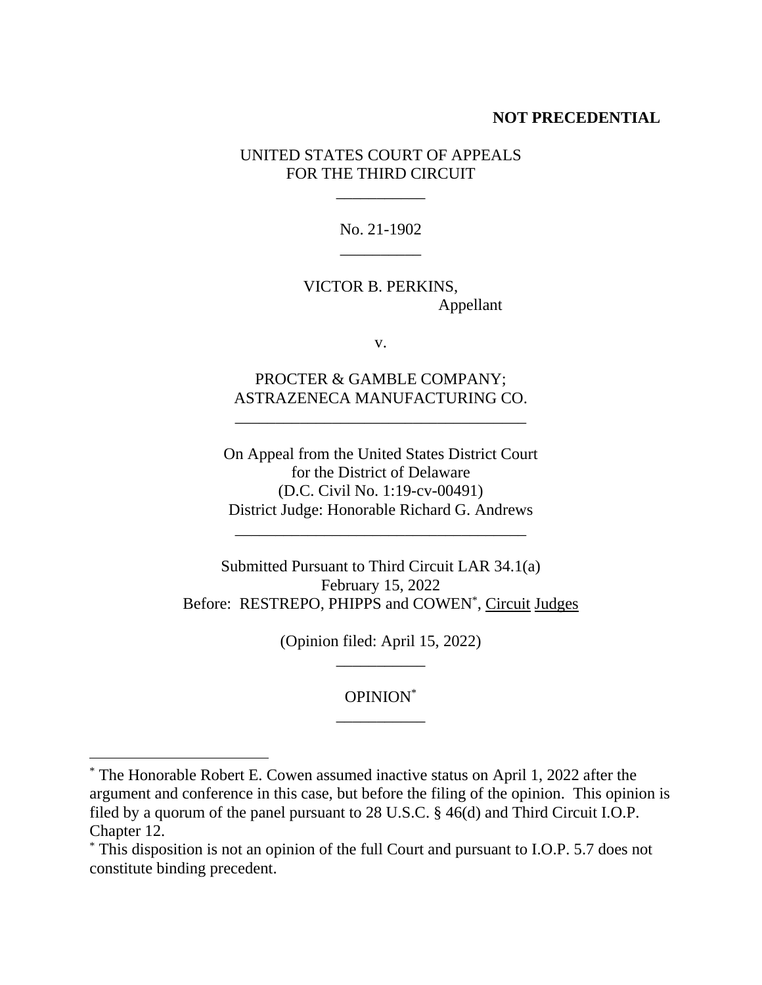## **NOT PRECEDENTIAL**

UNITED STATES COURT OF APPEALS FOR THE THIRD CIRCUIT

\_\_\_\_\_\_\_\_\_\_\_

No. 21-1902  $\overline{\phantom{a}}$  . The contract of the contract of  $\overline{\phantom{a}}$ 

VICTOR B. PERKINS, Appellant

v.

PROCTER & GAMBLE COMPANY; ASTRAZENECA MANUFACTURING CO.

\_\_\_\_\_\_\_\_\_\_\_\_\_\_\_\_\_\_\_\_\_\_\_\_\_\_\_\_\_\_\_\_\_\_\_\_

On Appeal from the United States District Court for the District of Delaware (D.C. Civil No. 1:19-cv-00491) District Judge: Honorable Richard G. Andrews

\_\_\_\_\_\_\_\_\_\_\_\_\_\_\_\_\_\_\_\_\_\_\_\_\_\_\_\_\_\_\_\_\_\_\_\_

Submitted Pursuant to Third Circuit LAR 34.1(a) February 15, 2022 Before: RESTREPO, PHIPPS and COWEN<sup>\*</sup>, Circuit Judges

> (Opinion filed: April 15, 2022) \_\_\_\_\_\_\_\_\_\_\_

> > OPINION\* \_\_\_\_\_\_\_\_\_\_\_

<sup>\*</sup> The Honorable Robert E. Cowen assumed inactive status on April 1, 2022 after the argument and conference in this case, but before the filing of the opinion. This opinion is filed by a quorum of the panel pursuant to 28 U.S.C. § 46(d) and Third Circuit I.O.P. Chapter 12.

<sup>\*</sup> This disposition is not an opinion of the full Court and pursuant to I.O.P. 5.7 does not constitute binding precedent.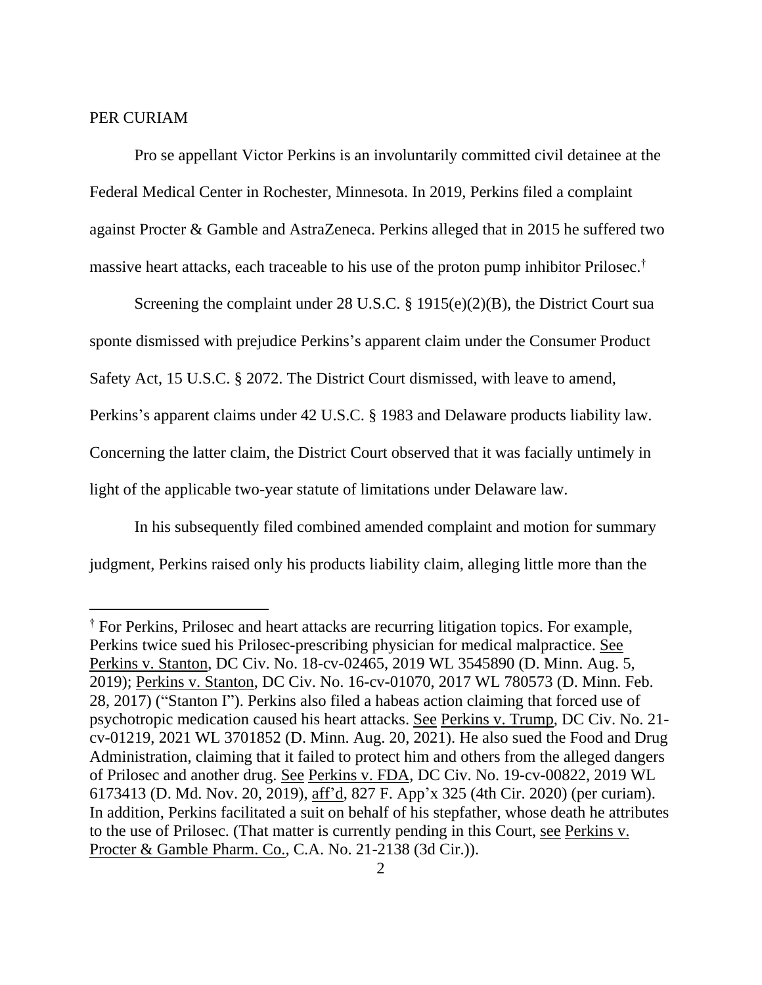## PER CURIAM

Pro se appellant Victor Perkins is an involuntarily committed civil detainee at the Federal Medical Center in Rochester, Minnesota. In 2019, Perkins filed a complaint against Procter & Gamble and AstraZeneca. Perkins alleged that in 2015 he suffered two massive heart attacks, each traceable to his use of the proton pump inhibitor Prilosec. †

Screening the complaint under 28 U.S.C. § 1915(e)(2)(B), the District Court sua sponte dismissed with prejudice Perkins's apparent claim under the Consumer Product Safety Act, 15 U.S.C. § 2072. The District Court dismissed, with leave to amend, Perkins's apparent claims under 42 U.S.C. § 1983 and Delaware products liability law. Concerning the latter claim, the District Court observed that it was facially untimely in light of the applicable two-year statute of limitations under Delaware law.

In his subsequently filed combined amended complaint and motion for summary judgment, Perkins raised only his products liability claim, alleging little more than the

<sup>†</sup> For Perkins, Prilosec and heart attacks are recurring litigation topics. For example, Perkins twice sued his Prilosec-prescribing physician for medical malpractice. See Perkins v. Stanton, DC Civ. No. 18-cv-02465, 2019 WL 3545890 (D. Minn. Aug. 5, 2019); Perkins v. Stanton, DC Civ. No. 16-cv-01070, 2017 WL 780573 (D. Minn. Feb. 28, 2017) ("Stanton I"). Perkins also filed a habeas action claiming that forced use of psychotropic medication caused his heart attacks. See Perkins v. Trump, DC Civ. No. 21 cv-01219, 2021 WL 3701852 (D. Minn. Aug. 20, 2021). He also sued the Food and Drug Administration, claiming that it failed to protect him and others from the alleged dangers of Prilosec and another drug. See Perkins v. FDA, DC Civ. No. 19-cv-00822, 2019 WL 6173413 (D. Md. Nov. 20, 2019), aff'd, 827 F. App'x 325 (4th Cir. 2020) (per curiam). In addition, Perkins facilitated a suit on behalf of his stepfather, whose death he attributes to the use of Prilosec. (That matter is currently pending in this Court, see Perkins v. Procter & Gamble Pharm. Co., C.A. No. 21-2138 (3d Cir.)).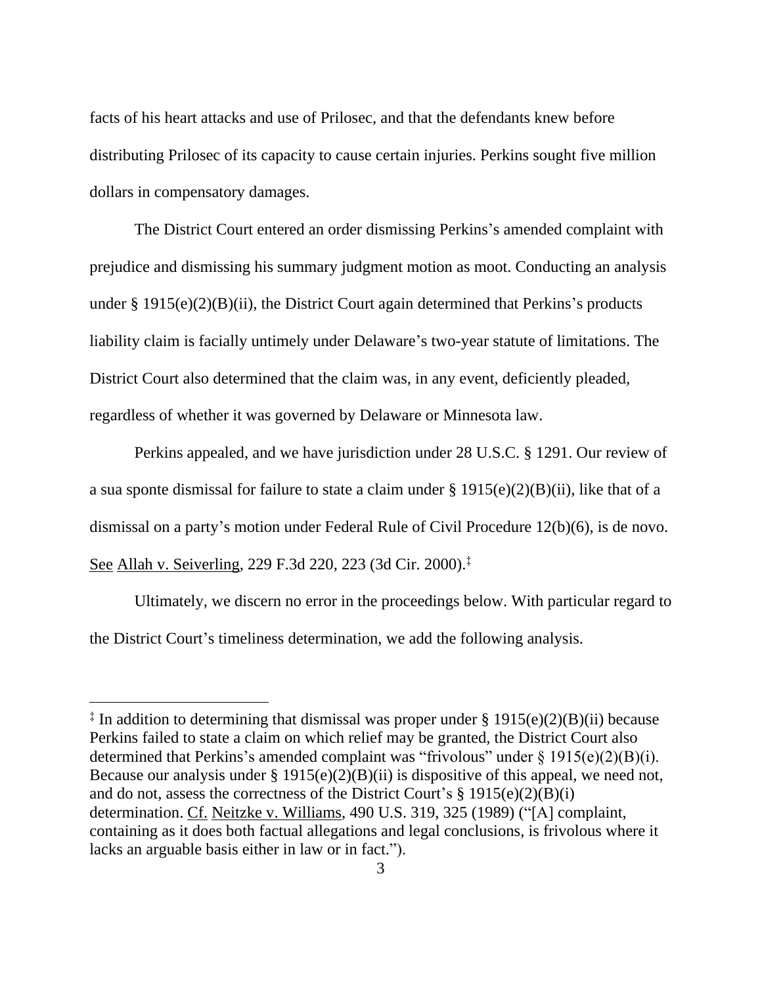facts of his heart attacks and use of Prilosec, and that the defendants knew before distributing Prilosec of its capacity to cause certain injuries. Perkins sought five million dollars in compensatory damages.

The District Court entered an order dismissing Perkins's amended complaint with prejudice and dismissing his summary judgment motion as moot. Conducting an analysis under  $\S 1915(e)(2)(B)(ii)$ , the District Court again determined that Perkins's products liability claim is facially untimely under Delaware's two-year statute of limitations. The District Court also determined that the claim was, in any event, deficiently pleaded, regardless of whether it was governed by Delaware or Minnesota law.

Perkins appealed, and we have jurisdiction under 28 U.S.C. § 1291. Our review of a sua sponte dismissal for failure to state a claim under  $\S 1915(e)(2)(B)(ii)$ , like that of a dismissal on a party's motion under Federal Rule of Civil Procedure 12(b)(6), is de novo. See Allah v. Seiverling, 229 F.3d 220, 223 (3d Cir. 2000). ‡

Ultimately, we discern no error in the proceedings below. With particular regard to the District Court's timeliness determination, we add the following analysis.

<sup>‡</sup> In addition to determining that dismissal was proper under § 1915(e)(2)(B)(ii) because Perkins failed to state a claim on which relief may be granted, the District Court also determined that Perkins's amended complaint was "frivolous" under § 1915(e)(2)(B)(i). Because our analysis under § 1915(e)(2)(B)(ii) is dispositive of this appeal, we need not, and do not, assess the correctness of the District Court's  $\S$  1915(e)(2)(B)(i) determination. Cf. Neitzke v. Williams, 490 U.S. 319, 325 (1989) ("[A] complaint, containing as it does both factual allegations and legal conclusions, is frivolous where it lacks an arguable basis either in law or in fact.").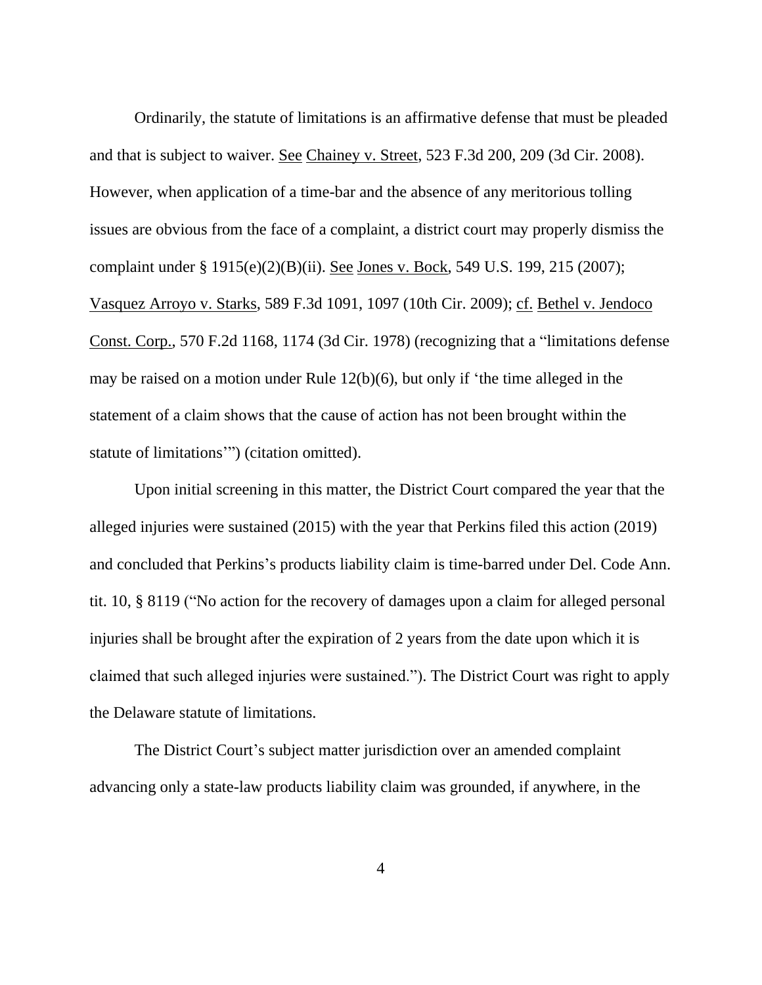Ordinarily, the statute of limitations is an affirmative defense that must be pleaded and that is subject to waiver. See Chainey v. Street, 523 F.3d 200, 209 (3d Cir. 2008). However, when application of a time-bar and the absence of any meritorious tolling issues are obvious from the face of a complaint, a district court may properly dismiss the complaint under § 1915(e)(2)(B)(ii). See Jones v. Bock, 549 U.S. 199, 215 (2007); Vasquez Arroyo v. Starks, 589 F.3d 1091, 1097 (10th Cir. 2009); cf. Bethel v. Jendoco Const. Corp., 570 F.2d 1168, 1174 (3d Cir. 1978) (recognizing that a "limitations defense may be raised on a motion under Rule 12(b)(6), but only if 'the time alleged in the statement of a claim shows that the cause of action has not been brought within the statute of limitations'") (citation omitted).

Upon initial screening in this matter, the District Court compared the year that the alleged injuries were sustained (2015) with the year that Perkins filed this action (2019) and concluded that Perkins's products liability claim is time-barred under Del. Code Ann. tit. 10, § 8119 ("No action for the recovery of damages upon a claim for alleged personal injuries shall be brought after the expiration of 2 years from the date upon which it is claimed that such alleged injuries were sustained."). The District Court was right to apply the Delaware statute of limitations.

The District Court's subject matter jurisdiction over an amended complaint advancing only a state-law products liability claim was grounded, if anywhere, in the

4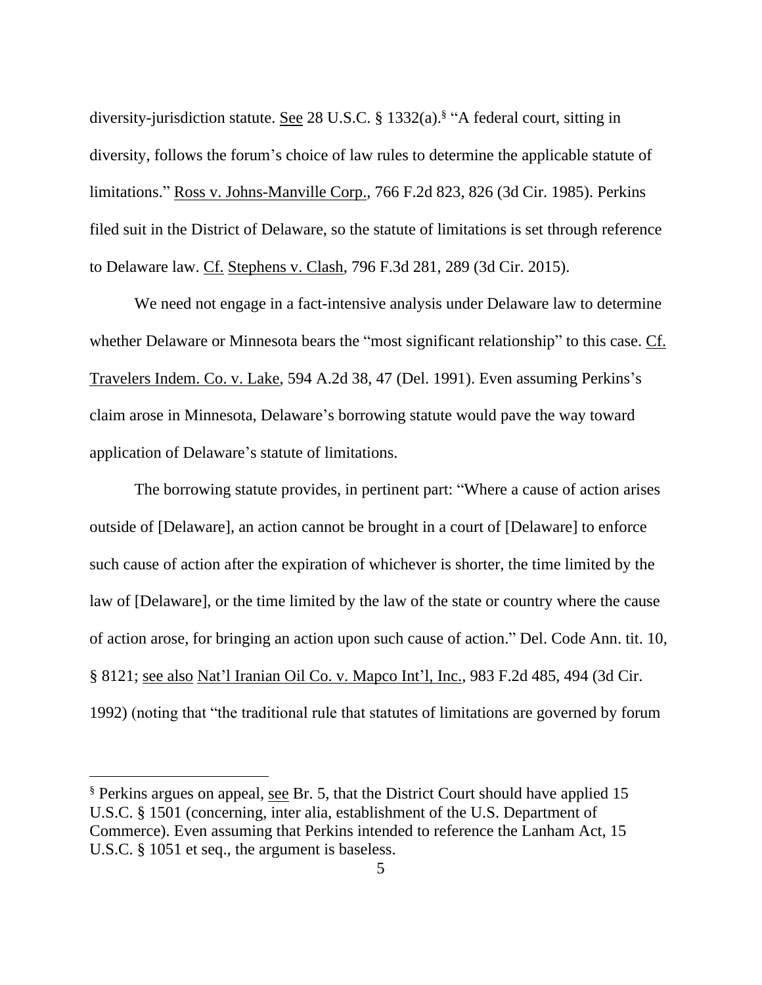diversity-jurisdiction statute. See 28 U.S.C. § 1332(a).<sup>§</sup> "A federal court, sitting in diversity, follows the forum's choice of law rules to determine the applicable statute of limitations." Ross v. Johns-Manville Corp., 766 F.2d 823, 826 (3d Cir. 1985). Perkins filed suit in the District of Delaware, so the statute of limitations is set through reference to Delaware law. Cf. Stephens v. Clash, 796 F.3d 281, 289 (3d Cir. 2015).

We need not engage in a fact-intensive analysis under Delaware law to determine whether Delaware or Minnesota bears the "most significant relationship" to this case. Cf. Travelers Indem. Co. v. Lake, 594 A.2d 38, 47 (Del. 1991). Even assuming Perkins's claim arose in Minnesota, Delaware's borrowing statute would pave the way toward application of Delaware's statute of limitations.

The borrowing statute provides, in pertinent part: "Where a cause of action arises outside of [Delaware], an action cannot be brought in a court of [Delaware] to enforce such cause of action after the expiration of whichever is shorter, the time limited by the law of [Delaware], or the time limited by the law of the state or country where the cause of action arose, for bringing an action upon such cause of action." Del. Code Ann. tit. 10, § 8121; see also Nat'l Iranian Oil Co. v. Mapco Int'l, Inc., 983 F.2d 485, 494 (3d Cir. 1992) (noting that "the traditional rule that statutes of limitations are governed by forum

<sup>§</sup> Perkins argues on appeal, see Br. 5, that the District Court should have applied 15 U.S.C. § 1501 (concerning, inter alia, establishment of the U.S. Department of Commerce). Even assuming that Perkins intended to reference the Lanham Act, 15 U.S.C. § 1051 et seq., the argument is baseless.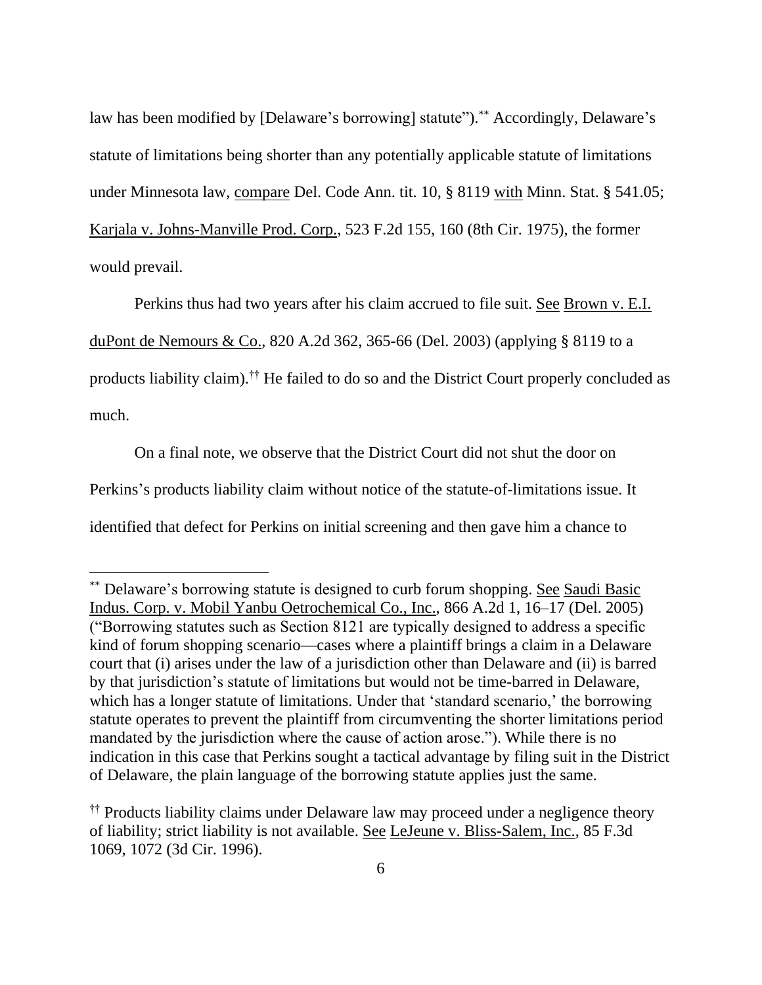law has been modified by [Delaware's borrowing] statute").<sup>\*\*</sup> Accordingly, Delaware's statute of limitations being shorter than any potentially applicable statute of limitations under Minnesota law, compare Del. Code Ann. tit. 10, § 8119 with Minn. Stat. § 541.05; Karjala v. Johns-Manville Prod. Corp., 523 F.2d 155, 160 (8th Cir. 1975), the former would prevail.

Perkins thus had two years after his claim accrued to file suit. See Brown v. E.I. duPont de Nemours & Co., 820 A.2d 362, 365-66 (Del. 2003) (applying § 8119 to a products liability claim).<sup>††</sup> He failed to do so and the District Court properly concluded as much.

On a final note, we observe that the District Court did not shut the door on Perkins's products liability claim without notice of the statute-of-limitations issue. It identified that defect for Perkins on initial screening and then gave him a chance to

<sup>\*\*</sup> Delaware's borrowing statute is designed to curb forum shopping. See Saudi Basic Indus. Corp. v. Mobil Yanbu Oetrochemical Co., Inc., 866 A.2d 1, 16–17 (Del. 2005) ("Borrowing statutes such as Section 8121 are typically designed to address a specific kind of forum shopping scenario—cases where a plaintiff brings a claim in a Delaware court that (i) arises under the law of a jurisdiction other than Delaware and (ii) is barred by that jurisdiction's statute of limitations but would not be time-barred in Delaware, which has a longer statute of limitations. Under that 'standard scenario,' the borrowing statute operates to prevent the plaintiff from circumventing the shorter limitations period mandated by the jurisdiction where the cause of action arose."). While there is no indication in this case that Perkins sought a tactical advantage by filing suit in the District of Delaware, the plain language of the borrowing statute applies just the same.

<sup>††</sup> Products liability claims under Delaware law may proceed under a negligence theory of liability; strict liability is not available. See LeJeune v. Bliss-Salem, Inc., 85 F.3d 1069, 1072 (3d Cir. 1996).